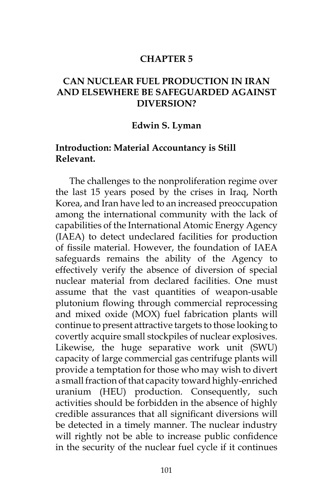#### **CHAPTER 5**

## **CAN NUCLEAR FUEL PRODUCTION IN IRAN AND ELSEWHERE BE SAFEGUARDED AGAINST DIVERSION?**

#### **Edwin S. Lyman**

#### **Introduction: Material Accountancy is Still Relevant.**

The challenges to the nonproliferation regime over the last 15 years posed by the crises in Iraq, North Korea, and Iran have led to an increased preoccupation among the international community with the lack of capabilities of the International Atomic Energy Agency (IAEA) to detect undeclared facilities for production of fissile material. However, the foundation of IAEA safeguards remains the ability of the Agency to effectively verify the absence of diversion of special nuclear material from declared facilities. One must assume that the vast quantities of weapon-usable plutonium flowing through commercial reprocessing and mixed oxide (MOX) fuel fabrication plants will continue to present attractive targets to those looking to covertly acquire small stockpiles of nuclear explosives. Likewise, the huge separative work unit (SWU) capacity of large commercial gas centrifuge plants will provide a temptation for those who may wish to divert a small fraction of that capacity toward highly-enriched uranium (HEU) production. Consequently, such activities should be forbidden in the absence of highly credible assurances that all significant diversions will be detected in a timely manner. The nuclear industry will rightly not be able to increase public confidence in the security of the nuclear fuel cycle if it continues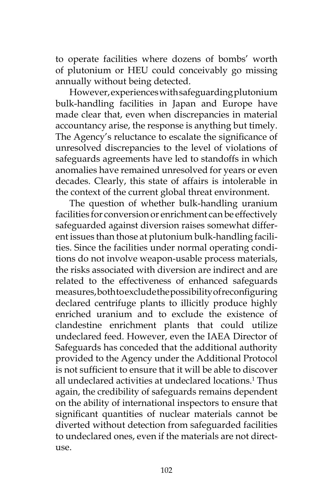to operate facilities where dozens of bombs' worth of plutonium or HEU could conceivably go missing annually without being detected.

However, experiences with safeguarding plutonium bulk-handling facilities in Japan and Europe have made clear that, even when discrepancies in material accountancy arise, the response is anything but timely. The Agency's reluctance to escalate the significance of unresolved discrepancies to the level of violations of safeguards agreements have led to standoffs in which anomalies have remained unresolved for years or even decades. Clearly, this state of affairs is intolerable in the context of the current global threat environment.

The question of whether bulk-handling uranium facilities for conversion or enrichment can be effectively safeguarded against diversion raises somewhat different issues than those at plutonium bulk-handling facilities. Since the facilities under normal operating conditions do not involve weapon-usable process materials, the risks associated with diversion are indirect and are related to the effectiveness of enhanced safeguards measures, both to exclude the possibility of reconfiguring declared centrifuge plants to illicitly produce highly enriched uranium and to exclude the existence of clandestine enrichment plants that could utilize undeclared feed. However, even the IAEA Director of Safeguards has conceded that the additional authority provided to the Agency under the Additional Protocol is not sufficient to ensure that it will be able to discover all undeclared activities at undeclared locations.<sup>1</sup> Thus again, the credibility of safeguards remains dependent on the ability of international inspectors to ensure that significant quantities of nuclear materials cannot be diverted without detection from safeguarded facilities to undeclared ones, even if the materials are not directuse.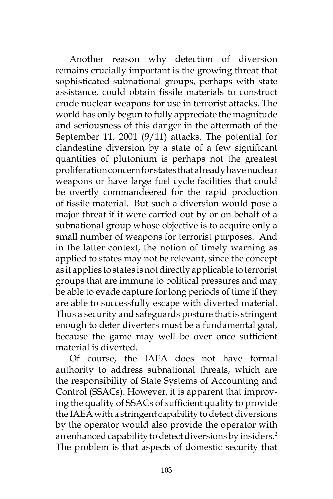Another reason why detection of diversion remains crucially important is the growing threat that sophisticated subnational groups, perhaps with state assistance, could obtain fissile materials to construct crude nuclear weapons for use in terrorist attacks. The world has only begun to fully appreciate the magnitude and seriousness of this danger in the aftermath of the September 11, 2001 (9/11) attacks. The potential for clandestine diversion by a state of a few significant quantities of plutonium is perhaps not the greatest proliferation concern for states that already have nuclear weapons or have large fuel cycle facilities that could be overtly commandeered for the rapid production of fissile material. But such a diversion would pose a major threat if it were carried out by or on behalf of a subnational group whose objective is to acquire only a small number of weapons for terrorist purposes. And in the latter context, the notion of timely warning as applied to states may not be relevant, since the concept as it applies to states is not directly applicable to terrorist groups that are immune to political pressures and may be able to evade capture for long periods of time if they are able to successfully escape with diverted material. Thus a security and safeguards posture that is stringent enough to deter diverters must be a fundamental goal, because the game may well be over once sufficient material is diverted.

Of course, the IAEA does not have formal authority to address subnational threats, which are the responsibility of State Systems of Accounting and Control (SSACs). However, it is apparent that improving the quality of SSACs of sufficient quality to provide the IAEA with a stringent capability to detect diversions by the operator would also provide the operator with an enhanced capability to detect diversions by insiders.<sup>2</sup> The problem is that aspects of domestic security that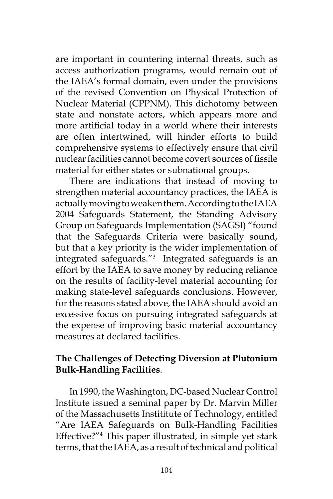are important in countering internal threats, such as access authorization programs, would remain out of the IAEA's formal domain, even under the provisions of the revised Convention on Physical Protection of Nuclear Material (CPPNM). This dichotomy between state and nonstate actors, which appears more and more artificial today in a world where their interests are often intertwined, will hinder efforts to build comprehensive systems to effectively ensure that civil nuclear facilities cannot become covert sources of fissile material for either states or subnational groups.

There are indications that instead of moving to strengthen material accountancy practices, the IAEA is actually moving to weaken them. According to the IAEA 2004 Safeguards Statement, the Standing Advisory Group on Safeguards Implementation (SAGSI) "found that the Safeguards Criteria were basically sound, but that a key priority is the wider implementation of integrated safeguards."3 Integrated safeguards is an effort by the IAEA to save money by reducing reliance on the results of facility-level material accounting for making state-level safeguards conclusions. However, for the reasons stated above, the IAEA should avoid an excessive focus on pursuing integrated safeguards at the expense of improving basic material accountancy measures at declared facilities.

# **The Challenges of Detecting Diversion at Plutonium Bulk-Handling Facilities**.

In 1990, the Washington, DC-based Nuclear Control Institute issued a seminal paper by Dr. Marvin Miller of the Massachusetts Instititute of Technology, entitled "Are IAEA Safeguards on Bulk-Handling Facilities Effective?"<sup>4</sup> This paper illustrated, in simple yet stark terms, that the IAEA, as a result of technical and political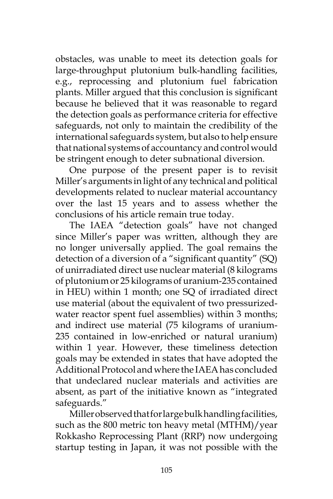obstacles, was unable to meet its detection goals for large-throughput plutonium bulk-handling facilities, e.g., reprocessing and plutonium fuel fabrication plants. Miller argued that this conclusion is significant because he believed that it was reasonable to regard the detection goals as performance criteria for effective safeguards, not only to maintain the credibility of the international safeguards system, but also to help ensure that national systems of accountancy and control would be stringent enough to deter subnational diversion.

One purpose of the present paper is to revisit Miller's arguments in light of any technical and political developments related to nuclear material accountancy over the last 15 years and to assess whether the conclusions of his article remain true today.

The IAEA "detection goals" have not changed since Miller's paper was written, although they are no longer universally applied. The goal remains the detection of a diversion of a "significant quantity" (SQ) of unirradiated direct use nuclear material (8 kilograms of plutonium or 25 kilograms of uranium-235 contained in HEU) within 1 month; one SQ of irradiated direct use material (about the equivalent of two pressurizedwater reactor spent fuel assemblies) within 3 months; and indirect use material (75 kilograms of uranium-235 contained in low-enriched or natural uranium) within 1 year. However, these timeliness detection goals may be extended in states that have adopted the Additional Protocol and where the IAEA has concluded that undeclared nuclear materials and activities are absent, as part of the initiative known as "integrated safeguards."

Miller observed that for large bulk handling facilities, such as the 800 metric ton heavy metal (MTHM)/year Rokkasho Reprocessing Plant (RRP) now undergoing startup testing in Japan, it was not possible with the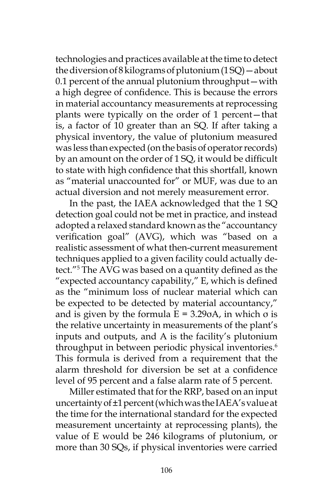technologies and practices available at the time to detect the diversion of 8 kilograms of plutonium  $(1 SQ)$  – about 0.1 percent of the annual plutonium throughput—with a high degree of confidence. This is because the errors in material accountancy measurements at reprocessing plants were typically on the order of 1 percent—that is, a factor of 10 greater than an SQ. If after taking a physical inventory, the value of plutonium measured was less than expected (on the basis of operator records) by an amount on the order of 1 SQ, it would be difficult to state with high confidence that this shortfall, known as "material unaccounted for" or MUF, was due to an actual diversion and not merely measurement error.

In the past, the IAEA acknowledged that the 1 SQ detection goal could not be met in practice, and instead adopted a relaxed standard known as the "accountancy verification goal" (AVG), which was "based on a realistic assessment of what then-current measurement techniques applied to a given facility could actually detect."5 The AVG was based on a quantity defined as the "expected accountancy capability," E, which is defined as the "minimum loss of nuclear material which can be expected to be detected by material accountancy," and is given by the formula  $E = 3.29 \text{ oA}$ , in which  $\sigma$  is the relative uncertainty in measurements of the plant's inputs and outputs, and A is the facility's plutonium throughput in between periodic physical inventories.<sup>6</sup> This formula is derived from a requirement that the alarm threshold for diversion be set at a confidence level of 95 percent and a false alarm rate of 5 percent.

Miller estimated that for the RRP, based on an input uncertainty of ±1 percent (which was the IAEA's value at the time for the international standard for the expected measurement uncertainty at reprocessing plants), the value of E would be 246 kilograms of plutonium, or more than 30 SQs, if physical inventories were carried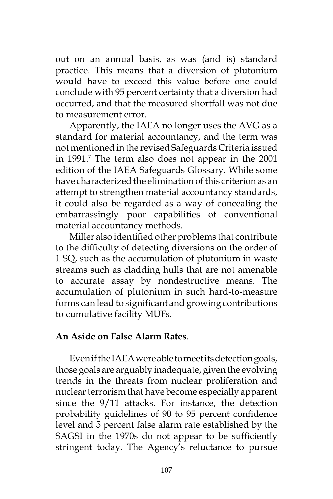out on an annual basis, as was (and is) standard practice. This means that a diversion of plutonium would have to exceed this value before one could conclude with 95 percent certainty that a diversion had occurred, and that the measured shortfall was not due to measurement error.

Apparently, the IAEA no longer uses the AVG as a standard for material accountancy, and the term was not mentioned in the revised Safeguards Criteria issued in 1991.7 The term also does not appear in the 2001 edition of the IAEA Safeguards Glossary. While some have characterized the elimination of this criterion as an attempt to strengthen material accountancy standards, it could also be regarded as a way of concealing the embarrassingly poor capabilities of conventional material accountancy methods.

Miller also identified other problems that contribute to the difficulty of detecting diversions on the order of 1 SQ, such as the accumulation of plutonium in waste streams such as cladding hulls that are not amenable to accurate assay by nondestructive means. The accumulation of plutonium in such hard-to-measure forms can lead to significant and growing contributions to cumulative facility MUFs.

## **An Aside on False Alarm Rates**.

Even if the IAEA were able to meet its detection goals, those goals are arguably inadequate, given the evolving trends in the threats from nuclear proliferation and nuclear terrorism that have become especially apparent since the 9/11 attacks. For instance, the detection probability guidelines of 90 to 95 percent confidence level and 5 percent false alarm rate established by the SAGSI in the 1970s do not appear to be sufficiently stringent today. The Agency's reluctance to pursue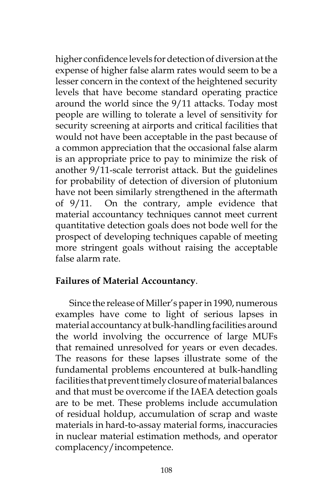higher confidence levels for detection of diversion at the expense of higher false alarm rates would seem to be a lesser concern in the context of the heightened security levels that have become standard operating practice around the world since the 9/11 attacks. Today most people are willing to tolerate a level of sensitivity for security screening at airports and critical facilities that would not have been acceptable in the past because of a common appreciation that the occasional false alarm is an appropriate price to pay to minimize the risk of another 9/11-scale terrorist attack. But the guidelines for probability of detection of diversion of plutonium have not been similarly strengthened in the aftermath of 9/11. On the contrary, ample evidence that material accountancy techniques cannot meet current quantitative detection goals does not bode well for the prospect of developing techniques capable of meeting more stringent goals without raising the acceptable false alarm rate.

### **Failures of Material Accountancy**.

Since the release of Miller's paper in 1990, numerous examples have come to light of serious lapses in material accountancy at bulk-handling facilities around the world involving the occurrence of large MUFs that remained unresolved for years or even decades. The reasons for these lapses illustrate some of the fundamental problems encountered at bulk-handling facilities that prevent timely closure of material balances and that must be overcome if the IAEA detection goals are to be met. These problems include accumulation of residual holdup, accumulation of scrap and waste materials in hard-to-assay material forms, inaccuracies in nuclear material estimation methods, and operator complacency/incompetence.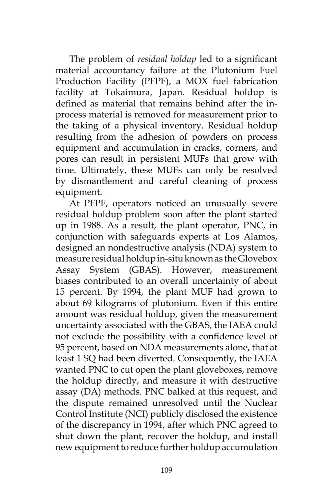The problem of *residual holdup* led to a significant material accountancy failure at the Plutonium Fuel Production Facility (PFPF), a MOX fuel fabrication facility at Tokaimura, Japan. Residual holdup is defined as material that remains behind after the inprocess material is removed for measurement prior to the taking of a physical inventory. Residual holdup resulting from the adhesion of powders on process equipment and accumulation in cracks, corners, and pores can result in persistent MUFs that grow with time. Ultimately, these MUFs can only be resolved by dismantlement and careful cleaning of process equipment.

At PFPF, operators noticed an unusually severe residual holdup problem soon after the plant started up in 1988. As a result, the plant operator, PNC, in conjunction with safeguards experts at Los Alamos, designed an nondestructive analysis (NDA) system to measure residual holdup in-situ known as the Glovebox Assay System (GBAS). However, measurement biases contributed to an overall uncertainty of about 15 percent. By 1994, the plant MUF had grown to about 69 kilograms of plutonium. Even if this entire amount was residual holdup, given the measurement uncertainty associated with the GBAS, the IAEA could not exclude the possibility with a confidence level of 95 percent, based on NDA measurements alone, that at least 1 SQ had been diverted. Consequently, the IAEA wanted PNC to cut open the plant gloveboxes, remove the holdup directly, and measure it with destructive assay (DA) methods. PNC balked at this request, and the dispute remained unresolved until the Nuclear Control Institute (NCI) publicly disclosed the existence of the discrepancy in 1994, after which PNC agreed to shut down the plant, recover the holdup, and install new equipment to reduce further holdup accumulation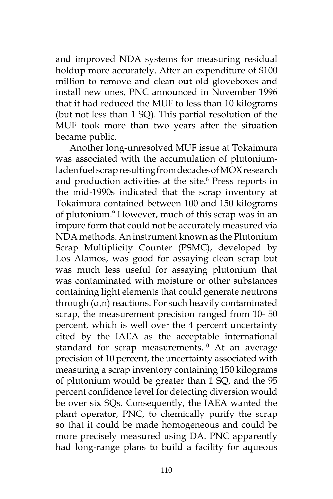and improved NDA systems for measuring residual holdup more accurately. After an expenditure of \$100 million to remove and clean out old gloveboxes and install new ones, PNC announced in November 1996 that it had reduced the MUF to less than 10 kilograms (but not less than 1 SQ). This partial resolution of the MUF took more than two years after the situation became public.

Another long-unresolved MUF issue at Tokaimura was associated with the accumulation of plutoniumladen fuel scrap resulting from decades of MOX research and production activities at the site.<sup>8</sup> Press reports in the mid-1990s indicated that the scrap inventory at Tokaimura contained between 100 and 150 kilograms of plutonium.9 However, much of this scrap was in an impure form that could not be accurately measured via NDA methods. An instrument known as the Plutonium Scrap Multiplicity Counter (PSMC), developed by Los Alamos, was good for assaying clean scrap but was much less useful for assaying plutonium that was contaminated with moisture or other substances containing light elements that could generate neutrons through (α,n) reactions. For such heavily contaminated scrap, the measurement precision ranged from 10- 50 percent, which is well over the 4 percent uncertainty cited by the IAEA as the acceptable international standard for scrap measurements.<sup>10</sup> At an average precision of 10 percent, the uncertainty associated with measuring a scrap inventory containing 150 kilograms of plutonium would be greater than 1 SQ, and the 95 percent confidence level for detecting diversion would be over six SQs. Consequently, the IAEA wanted the plant operator, PNC, to chemically purify the scrap so that it could be made homogeneous and could be more precisely measured using DA. PNC apparently had long-range plans to build a facility for aqueous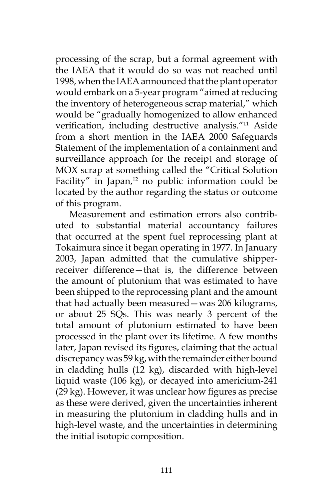processing of the scrap, but a formal agreement with the IAEA that it would do so was not reached until 1998, when the IAEA announced that the plant operator would embark on a 5-year program "aimed at reducing the inventory of heterogeneous scrap material," which would be "gradually homogenized to allow enhanced verification, including destructive analysis."11 Aside from a short mention in the IAEA 2000 Safeguards Statement of the implementation of a containment and surveillance approach for the receipt and storage of MOX scrap at something called the "Critical Solution Facility" in Japan, $12$  no public information could be located by the author regarding the status or outcome of this program.

Measurement and estimation errors also contributed to substantial material accountancy failures that occurred at the spent fuel reprocessing plant at Tokaimura since it began operating in 1977. In January 2003, Japan admitted that the cumulative shipperreceiver difference—that is, the difference between the amount of plutonium that was estimated to have been shipped to the reprocessing plant and the amount that had actually been measured—was 206 kilograms, or about 25 SQs. This was nearly 3 percent of the total amount of plutonium estimated to have been processed in the plant over its lifetime. A few months later, Japan revised its figures, claiming that the actual discrepancy was 59 kg, with the remainder either bound in cladding hulls (12 kg), discarded with high-level liquid waste (106 kg), or decayed into americium-241 (29 kg). However, it was unclear how figures as precise as these were derived, given the uncertainties inherent in measuring the plutonium in cladding hulls and in high-level waste, and the uncertainties in determining the initial isotopic composition.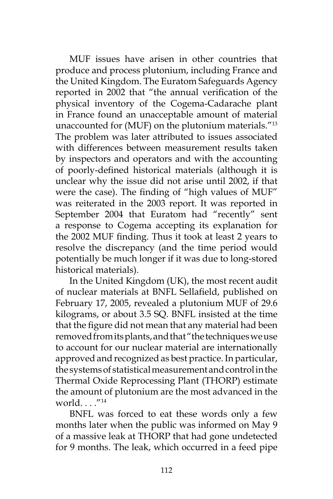MUF issues have arisen in other countries that produce and process plutonium, including France and the United Kingdom. The Euratom Safeguards Agency reported in 2002 that "the annual verification of the physical inventory of the Cogema-Cadarache plant in France found an unacceptable amount of material unaccounted for (MUF) on the plutonium materials."13 The problem was later attributed to issues associated with differences between measurement results taken by inspectors and operators and with the accounting of poorly-defined historical materials (although it is unclear why the issue did not arise until 2002, if that were the case). The finding of "high values of MUF" was reiterated in the 2003 report. It was reported in September 2004 that Euratom had "recently" sent a response to Cogema accepting its explanation for the 2002 MUF finding. Thus it took at least 2 years to resolve the discrepancy (and the time period would potentially be much longer if it was due to long-stored historical materials).

In the United Kingdom (UK), the most recent audit of nuclear materials at BNFL Sellafield, published on February 17, 2005, revealed a plutonium MUF of 29.6 kilograms, or about 3.5 SQ. BNFL insisted at the time that the figure did not mean that any material had been removed from its plants, and that "the techniques we use to account for our nuclear material are internationally approved and recognized as best practice. In particular, the systems of statistical measurement and control in the Thermal Oxide Reprocessing Plant (THORP) estimate the amount of plutonium are the most advanced in the world.  $\frac{1}{14}$ 

BNFL was forced to eat these words only a few months later when the public was informed on May 9 of a massive leak at THORP that had gone undetected for 9 months. The leak, which occurred in a feed pipe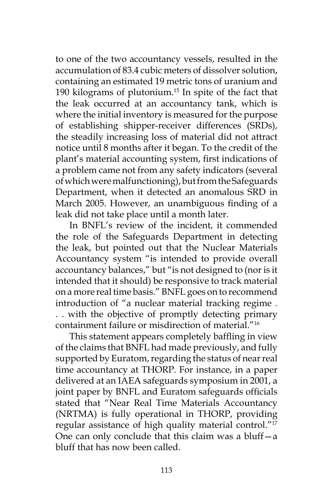to one of the two accountancy vessels, resulted in the accumulation of 83.4 cubic meters of dissolver solution, containing an estimated 19 metric tons of uranium and 190 kilograms of plutonium.15 In spite of the fact that the leak occurred at an accountancy tank, which is where the initial inventory is measured for the purpose of establishing shipper-receiver differences (SRDs), the steadily increasing loss of material did not attract notice until 8 months after it began. To the credit of the plant's material accounting system, first indications of a problem came not from any safety indicators (several of which were malfunctioning), but from the Safeguards Department, when it detected an anomalous SRD in March 2005. However, an unambiguous finding of a leak did not take place until a month later.

In BNFL's review of the incident, it commended the role of the Safeguards Department in detecting the leak, but pointed out that the Nuclear Materials Accountancy system "is intended to provide overall accountancy balances," but "is not designed to (nor is it intended that it should) be responsive to track material on a more real time basis." BNFL goes on to recommend introduction of "a nuclear material tracking regime . . . with the objective of promptly detecting primary containment failure or misdirection of material."16

This statement appears completely baffling in view of the claims that BNFL had made previously, and fully supported by Euratom, regarding the status of near real time accountancy at THORP. For instance, in a paper delivered at an IAEA safeguards symposium in 2001, a joint paper by BNFL and Euratom safeguards officials stated that "Near Real Time Materials Accountancy (NRTMA) is fully operational in THORP, providing regular assistance of high quality material control."17 One can only conclude that this claim was a bluff—a bluff that has now been called.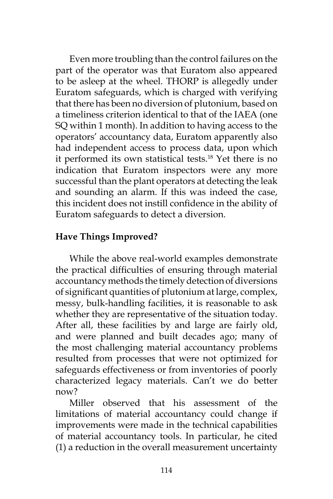Even more troubling than the control failures on the part of the operator was that Euratom also appeared to be asleep at the wheel. THORP is allegedly under Euratom safeguards, which is charged with verifying that there has been no diversion of plutonium, based on a timeliness criterion identical to that of the IAEA (one SQ within 1 month). In addition to having access to the operators' accountancy data, Euratom apparently also had independent access to process data, upon which it performed its own statistical tests.<sup>18</sup> Yet there is no indication that Euratom inspectors were any more successful than the plant operators at detecting the leak and sounding an alarm. If this was indeed the case, this incident does not instill confidence in the ability of Euratom safeguards to detect a diversion.

# **Have Things Improved?**

While the above real-world examples demonstrate the practical difficulties of ensuring through material accountancy methods the timely detection of diversions of significant quantities of plutonium at large, complex, messy, bulk-handling facilities, it is reasonable to ask whether they are representative of the situation today. After all, these facilities by and large are fairly old, and were planned and built decades ago; many of the most challenging material accountancy problems resulted from processes that were not optimized for safeguards effectiveness or from inventories of poorly characterized legacy materials. Can't we do better now?

Miller observed that his assessment of the limitations of material accountancy could change if improvements were made in the technical capabilities of material accountancy tools. In particular, he cited (1) a reduction in the overall measurement uncertainty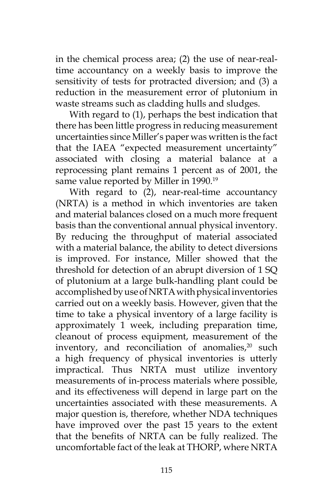in the chemical process area; (2) the use of near-realtime accountancy on a weekly basis to improve the sensitivity of tests for protracted diversion; and (3) a reduction in the measurement error of plutonium in waste streams such as cladding hulls and sludges.

With regard to (1), perhaps the best indication that there has been little progress in reducing measurement uncertainties since Miller's paper was written is the fact that the IAEA "expected measurement uncertainty" associated with closing a material balance at a reprocessing plant remains 1 percent as of 2001, the same value reported by Miller in 1990.<sup>19</sup>

With regard to (2), near-real-time accountancy (NRTA) is a method in which inventories are taken and material balances closed on a much more frequent basis than the conventional annual physical inventory. By reducing the throughput of material associated with a material balance, the ability to detect diversions is improved. For instance, Miller showed that the threshold for detection of an abrupt diversion of 1 SQ of plutonium at a large bulk-handling plant could be accomplished by use of NRTA with physical inventories carried out on a weekly basis. However, given that the time to take a physical inventory of a large facility is approximately 1 week, including preparation time, cleanout of process equipment, measurement of the inventory, and reconciliation of anomalies, $20$  such a high frequency of physical inventories is utterly impractical. Thus NRTA must utilize inventory measurements of in-process materials where possible, and its effectiveness will depend in large part on the uncertainties associated with these measurements. A major question is, therefore, whether NDA techniques have improved over the past 15 years to the extent that the benefits of NRTA can be fully realized. The uncomfortable fact of the leak at THORP, where NRTA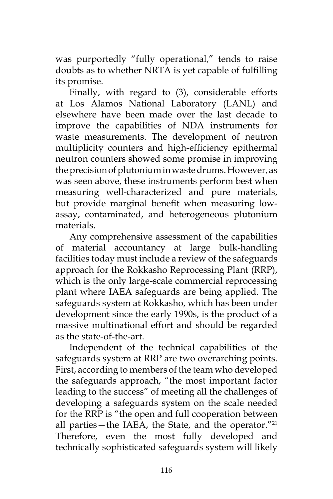was purportedly "fully operational," tends to raise doubts as to whether NRTA is yet capable of fulfilling its promise.

Finally, with regard to (3), considerable efforts at Los Alamos National Laboratory (LANL) and elsewhere have been made over the last decade to improve the capabilities of NDA instruments for waste measurements. The development of neutron multiplicity counters and high-efficiency epithermal neutron counters showed some promise in improving the precision of plutonium in waste drums. However, as was seen above, these instruments perform best when measuring well-characterized and pure materials, but provide marginal benefit when measuring lowassay, contaminated, and heterogeneous plutonium materials.

Any comprehensive assessment of the capabilities of material accountancy at large bulk-handling facilities today must include a review of the safeguards approach for the Rokkasho Reprocessing Plant (RRP), which is the only large-scale commercial reprocessing plant where IAEA safeguards are being applied. The safeguards system at Rokkasho, which has been under development since the early 1990s, is the product of a massive multinational effort and should be regarded as the state-of-the-art.

Independent of the technical capabilities of the safeguards system at RRP are two overarching points. First, according to members of the team who developed the safeguards approach, "the most important factor leading to the success" of meeting all the challenges of developing a safeguards system on the scale needed for the RRP is "the open and full cooperation between all parties—the IAEA, the State, and the operator." $^{21}$ Therefore, even the most fully developed and technically sophisticated safeguards system will likely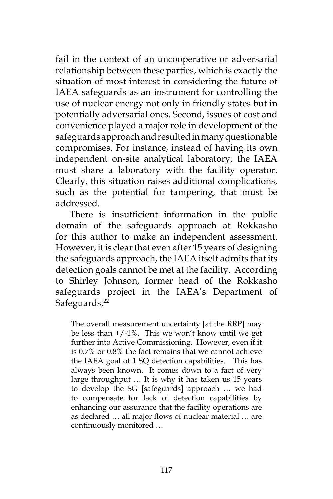fail in the context of an uncooperative or adversarial relationship between these parties, which is exactly the situation of most interest in considering the future of IAEA safeguards as an instrument for controlling the use of nuclear energy not only in friendly states but in potentially adversarial ones. Second, issues of cost and convenience played a major role in development of the safeguards approach and resulted in many questionable compromises. For instance, instead of having its own independent on-site analytical laboratory, the IAEA must share a laboratory with the facility operator. Clearly, this situation raises additional complications, such as the potential for tampering, that must be addressed.

There is insufficient information in the public domain of the safeguards approach at Rokkasho for this author to make an independent assessment. However, it is clear that even after 15 years of designing the safeguards approach, the IAEA itself admits that its detection goals cannot be met at the facility. According to Shirley Johnson, former head of the Rokkasho safeguards project in the IAEA's Department of Safeguards,<sup>22</sup>

The overall measurement uncertainty [at the RRP] may be less than  $+/-1\%$ . This we won't know until we get further into Active Commissioning. However, even if it is 0.7% or 0.8% the fact remains that we cannot achieve the IAEA goal of 1 SQ detection capabilities. This has always been known. It comes down to a fact of very large throughput … It is why it has taken us 15 years to develop the SG [safeguards] approach … we had to compensate for lack of detection capabilities by enhancing our assurance that the facility operations are as declared … all major flows of nuclear material … are continuously monitored …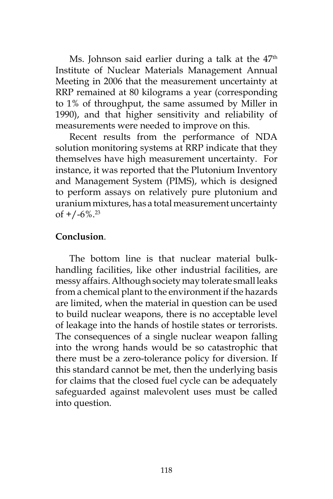Ms. Johnson said earlier during a talk at the 47<sup>th</sup> Institute of Nuclear Materials Management Annual Meeting in 2006 that the measurement uncertainty at RRP remained at 80 kilograms a year (corresponding to 1% of throughput, the same assumed by Miller in 1990), and that higher sensitivity and reliability of measurements were needed to improve on this.

Recent results from the performance of NDA solution monitoring systems at RRP indicate that they themselves have high measurement uncertainty. For instance, it was reported that the Plutonium Inventory and Management System (PIMS), which is designed to perform assays on relatively pure plutonium and uranium mixtures, has a total measurement uncertainty of  $+/-6\%$ <sup>23</sup>

### **Conclusion**.

The bottom line is that nuclear material bulkhandling facilities, like other industrial facilities, are messy affairs. Although society may tolerate small leaks from a chemical plant to the environment if the hazards are limited, when the material in question can be used to build nuclear weapons, there is no acceptable level of leakage into the hands of hostile states or terrorists. The consequences of a single nuclear weapon falling into the wrong hands would be so catastrophic that there must be a zero-tolerance policy for diversion. If this standard cannot be met, then the underlying basis for claims that the closed fuel cycle can be adequately safeguarded against malevolent uses must be called into question.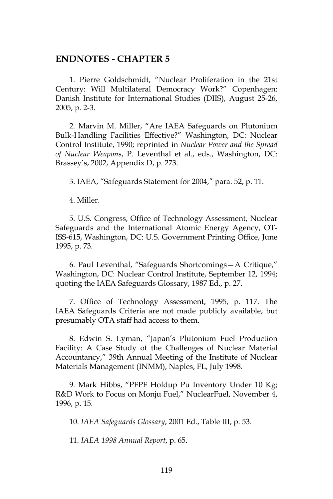#### **ENDNOTES - CHAPTER 5**

1. Pierre Goldschmidt, "Nuclear Proliferation in the 21st Century: Will Multilateral Democracy Work?" Copenhagen: Danish Institute for International Studies (DIIS), August 25-26, 2005, p. 2-3.

2. Marvin M. Miller, "Are IAEA Safeguards on Plutonium Bulk-Handling Facilities Effective?" Washington, DC: Nuclear Control Institute, 1990; reprinted in *Nuclear Power and the Spread of Nuclear Weapons*, P. Leventhal et al., eds., Washington, DC: Brassey's, 2002, Appendix D, p. 273.

3. IAEA, "Safeguards Statement for 2004," para. 52, p. 11.

4. Miller.

5. U.S. Congress, Office of Technology Assessment, Nuclear Safeguards and the International Atomic Energy Agency, OT-ISS-615, Washington, DC: U.S. Government Printing Office, June 1995, p. 73.

6. Paul Leventhal, "Safeguards Shortcomings—A Critique," Washington, DC: Nuclear Control Institute, September 12, 1994; quoting the IAEA Safeguards Glossary, 1987 Ed., p. 27.

7. Office of Technology Assessment, 1995, p. 117. The IAEA Safeguards Criteria are not made publicly available, but presumably OTA staff had access to them.

8. Edwin S. Lyman, "Japan's Plutonium Fuel Production Facility: A Case Study of the Challenges of Nuclear Material Accountancy," 39th Annual Meeting of the Institute of Nuclear Materials Management (INMM), Naples, FL, July 1998.

9. Mark Hibbs, "PFPF Holdup Pu Inventory Under 10 Kg; R&D Work to Focus on Monju Fuel," NuclearFuel, November 4, 1996, p. 15.

10. *IAEA Safeguards Glossary*, 2001 Ed., Table III, p. 53.

11. *IAEA 1998 Annual Report*, p. 65.